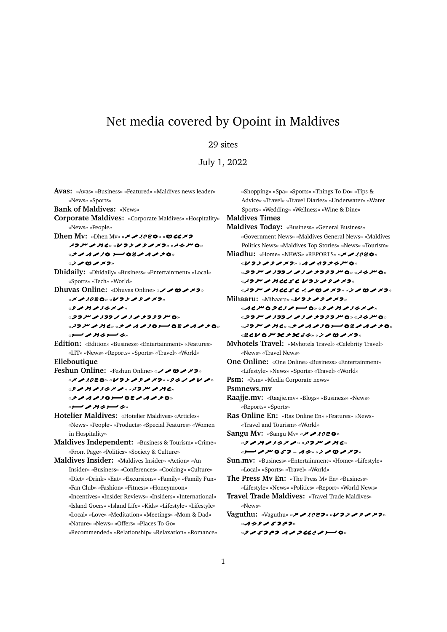## Net media covered by Opoint in Maldives

## 29 sites

July 1, 2022

**Avas:** «Avas» «Business» «Featured» «Maldives news leader» «News» «Sports» **Bank of Maldives:** «News» **Corporate Maldives:** «Corporate Maldives» «Hospitality» «News» «People» **Dhen Mv:** «Dhen Mv» « » « «٥ ملز پر پر ۶ بر ۶ بر ۶ بر ۷ پر پر بر ۳ بر ۶ بر « **>>>>>>> >> OB>>>>0**»  $\mathbb{Z}$   $\geq$   $\geq$   $\geq$   $\geq$   $\geq$   $\geq$ **Dhidaily:** «Dhidaily» «Business» «Entertainment» «Local» «Sports» «Tech» «World» **Dhuvas Online:** «Dhuvas Online» «
v
o
v
v
<sub>x</sub> « » « »  $\mathcal{L} \times \mathcal{L} \times \mathcal{L} \times \mathcal{L}$ «フフ*ル ノ!つつノ ノ!ノ >* ファクル O» « » « » «پر ب دیے **بر مر** ب **Edition:** «Edition» «Business» «Entertainment» «Features» «LIT» «News» «Reports» «Sports» «Travel» «World» **Elleboutique Feshun Online:** «Feshun Online» «ンンロンメフ» « » « » « » « » » » » » » » » » » » » » » « » « **>>>>>>0>** 08>1>>0 «پر سسوپے بعد مسسو» **Hotelier Maldives:** «Hotelier Maldives» «Articles» «News» «People» «Products» «Special Features» «Women in Hospitality» **Maldives Independent:** «Business & Tourism» «Crime» «Front Page» «Politics» «Society & Culture» **Maldives Insider:** «Maldives Insider» «Action» «An Insider» «Business» «Conferences» «Cooking» «Culture» «Diet» «Drink» «Eat» «Excursions» «Family» «Family Fun» «Fan Club» «Fashion» «Fitness» «Honeymoon» «Incentives» «Insider Reviews» «Insiders» «International» «Island Goers» «Island Life» «Kids» «Lifestyle» «Lifestyle» «Local» «Love» «Meditation» «Meetings» «Mom & Dad» «Nature» «News» «Offers» «Places To Go» «Recommended» «Relationship» «Relaxation» «Romance»

«Shopping» «Spa» «Sports» «Things To Do» «Tips & Advice» «Travel» «Travel Diaries» «Underwater» «Water Sports» «Wedding» «Wellness» «Wine & Dine» **Maldives Times Maldives Today:** «Business» «General Business» «Government News» «Maldives General News» «Maldives Politics News» «Maldives Top Stories» «News» «Tourism» **Miadhu:** «Home» «NEWS» «REPORTS» « » « V フ ン ノ ク ノ ノ フ » « ハ ノ ・1 フ ン ク ル ロ » «フフ*ル ノ <sup>3</sup>フフノ ノ 3 ノ 2 フ 3 2 プ 0* » «<sup>フ</sup>クノ" 0 »  $\mathbb{Z}$   $\mathcal{P}$   $\mathcal{P}$   $\mathcal{P}$   $\mathcal{P}$   $\mathcal{P}$   $\mathcal{P}$   $\mathcal{P}$   $\mathcal{P}$   $\mathcal{P}$   $\mathcal{P}$   $\mathcal{P}$   $\mathcal{P}$   $\mathcal{P}$   $\mathcal{P}$   $\mathcal{P}$   $\mathcal{P}$   $\mathcal{P}$   $\mathcal{P}$   $\mathcal{P}$   $\mathcal{P}$   $\mathcal{P}$   $\mathcal{P}$   $\mathcal{P}$   $\mathcal{$ « » « » **Mihaaru: «Mihaaru» <b>***WAYAAX>* «ACMODE3A) O» « PAMA34XA» « » « » «A C» و D C» و D A D و D D D D D D D و صر 2 D سر 2 D و سر « **ecv o m x s s es » « i s o s s » Mvhotels Travel:** «Mvhotels Travel» «Celebrity Travel» «News» «Travel News» **One Online:** «One Online» «Business» «Entertainment» «Lifestyle» «News» «Sports» «Travel» «World» **Psm:** «Psm» «Media Corporate news» **Psmnews.mv Raajje.mv:** «Raajje.mv» «Blogs» «Business» «News» «Reports» «Sports» **Ras Online En:** «Ras Online En» «Features» «News» «Travel and Tourism» «World» **Sangu Mv:** «Sangu Mv» « » « » « » «د ۳۵ م بر» «۲۵ – ۵ د ۳۵ م بر اسسر» **Sun.mv:** «Business» «Entertainment» «Home» «Lifestyle» «Local» «Sports» «Travel» «World» **The Press Mv En:** «The Press Mv En» «Business» «Lifestyle» «News» «Politics» «Report» «World News» **Travel Trade Maldives:** «Travel Trade Maldives» «News» **Vaguthu:** «Vaguthu» « » « »  $*$ A 2 2  $\sim$  5 7 8 7  $*$ « ? 1 5 7 59 1 1 7 66 2 1 1 0 »